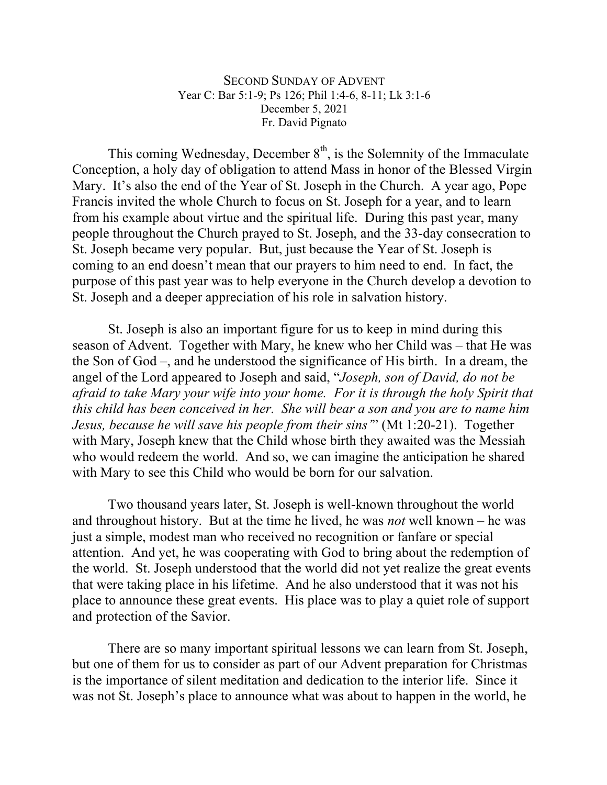## SECOND SUNDAY OF ADVENT Year C: Bar 5:1-9; Ps 126; Phil 1:4-6, 8-11; Lk 3:1-6 December 5, 2021 Fr. David Pignato

This coming Wednesday, December  $8<sup>th</sup>$ , is the Solemnity of the Immaculate Conception, a holy day of obligation to attend Mass in honor of the Blessed Virgin Mary. It's also the end of the Year of St. Joseph in the Church. A year ago, Pope Francis invited the whole Church to focus on St. Joseph for a year, and to learn from his example about virtue and the spiritual life. During this past year, many people throughout the Church prayed to St. Joseph, and the 33-day consecration to St. Joseph became very popular. But, just because the Year of St. Joseph is coming to an end doesn't mean that our prayers to him need to end. In fact, the purpose of this past year was to help everyone in the Church develop a devotion to St. Joseph and a deeper appreciation of his role in salvation history.

St. Joseph is also an important figure for us to keep in mind during this season of Advent. Together with Mary, he knew who her Child was – that He was the Son of God –, and he understood the significance of His birth. In a dream, the angel of the Lord appeared to Joseph and said, "*Joseph, son of David, do not be afraid to take Mary your wife into your home. For it is through the holy Spirit that this child has been conceived in her. She will bear a son and you are to name him Jesus, because he will save his people from their sins'*" (Mt 1:20-21). Together with Mary, Joseph knew that the Child whose birth they awaited was the Messiah who would redeem the world. And so, we can imagine the anticipation he shared with Mary to see this Child who would be born for our salvation.

Two thousand years later, St. Joseph is well-known throughout the world and throughout history. But at the time he lived, he was *not* well known – he was just a simple, modest man who received no recognition or fanfare or special attention. And yet, he was cooperating with God to bring about the redemption of the world. St. Joseph understood that the world did not yet realize the great events that were taking place in his lifetime. And he also understood that it was not his place to announce these great events. His place was to play a quiet role of support and protection of the Savior.

There are so many important spiritual lessons we can learn from St. Joseph, but one of them for us to consider as part of our Advent preparation for Christmas is the importance of silent meditation and dedication to the interior life. Since it was not St. Joseph's place to announce what was about to happen in the world, he